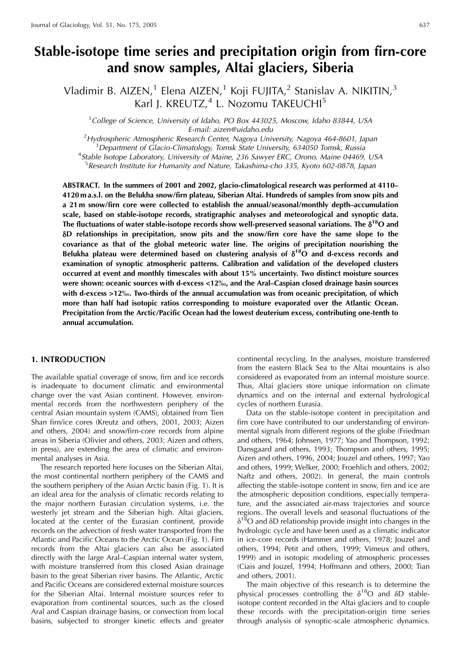# Stable-isotope time series and precipitation origin from firn-core and snow samples, Altai glaciers, Siberia

Vladimir B. AIZEN,<sup>1</sup> Elena AIZEN,<sup>1</sup> Koji FUJITA,<sup>2</sup> Stanislav A. NIKITIN,<sup>3</sup> Karl J. KREUTZ,<sup>4</sup> L. Nozomu TAKEUCHI<sup>5</sup>

<sup>1</sup>College of Science, University of Idaho, PO Box 443025, Moscow, Idaho 83844, USA E-mail: aizen@uidaho.edu

 $2$ Hydrospheric Atmospheric Research Center, Nagoya University, Nagoya 464-8601, Japan <sup>3</sup>Department of Glacio-Climatology, Tomsk State University, 634050 Tomsk, Russia <sup>4</sup>Stable Isotope Laboratory, University of Maine, 236 Sawyer ERC, Orono, Maine 04469, USA <sup>5</sup> Research Institute for Humanity and Nature, Takashima-cho 335, Kyoto 602-0878, Japan

ABSTRACT. In the summers of 2001 and 2002, glacio-climatological research was performed at 4110– 4120 m a.s.l. on the Belukha snow/firn plateau. Siberian Altai. Hundreds of samples from snow pits and a 21 m snow/firn core were collected to establish the annual/seasonal/monthly depth–accumulation scale, based on stable-isotope records, stratigraphic analyses and meteorological and synoptic data. The fluctuations of water stable-isotope records show well-preserved seasonal variations. The  $\delta^{18}O$  and δD relationships in precipitation, snow pits and the snow/firn core have the same slope to the covariance as that of the global meteoric water line. The origins of precipitation nourishing the Belukha plateau were determined based on clustering analysis of  $\delta^{18}O$  and d-excess records and examination of synoptic atmospheric patterns. Calibration and validation of the developed clusters occurred at event and monthly timescales with about 15% uncertainty. Two distinct moisture sources were shown: oceanic sources with d-excess <12‰, and the Aral–Caspian closed drainage basin sources with d-excess >12‰. Two-thirds of the annual accumulation was from oceanic precipitation, of which more than half had isotopic ratios corresponding to moisture evaporated over the Atlantic Ocean. Precipitation from the Arctic/Pacific Ocean had the lowest deuterium excess, contributing one-tenth to annual accumulation.

# **1. INTRODUCTION**

The available spatial coverage of snow, firn and ice records is inadequate to document climatic and environmental change over the vast Asian continent. However, environmental records from the northwestern periphery of the central Asian mountain system (CAMS), obtained from Tien Shan firn/ice cores (Kreutz and others, 2001, 2003; Aizen and others, 2004) and snow/firn-core records from alpine areas in Siberia (Olivier and others, 2003; Aizen and others, in press), are extending the area of climatic and environmental analyses in Asia.

The research reported here focuses on the Siberian Altai, the most continental northern periphery of the CAMS and the southern periphery of the Asian Arctic basin (Fig. 1). It is an ideal area for the analysis of climatic records relating to the major northern Eurasian circulation systems, i.e. the westerly jet stream and the Siberian high. Altai glaciers, located at the center of the Eurasian continent, provide records on the advection of fresh water transported from the Atlantic and Pacific Oceans to the Arctic Ocean (Fig. 1). Firn records from the Altai glaciers can also be associated directly with the large Aral-Caspian internal water system, with moisture transferred from this closed Asian drainage basin to the great Siberian river basins. The Atlantic, Arctic and Pacific Oceans are considered external moisture sources for the Siberian Altai. Internal moisture sources refer to evaporation from continental sources, such as the closed Aral and Caspian drainage basins, or convection from local basins, subjected to stronger kinetic effects and greater

continental recycling. In the analyses, moisture transferred from the eastern Black Sea to the Altai mountains is also considered as evaporated from an internal moisture source. Thus, Altai glaciers store unique information on climate dynamics and on the internal and external hydrological cycles of northern Eurasia.

Data on the stable-isotope content in precipitation and firn core have contributed to our understanding of environmental signals from different regions of the globe (Friedman and others, 1964; Johnsen, 1977; Yao and Thompson, 1992; Dansgaard and others, 1993; Thompson and others, 1995; Aizen and others, 1996, 2004; Jouzel and others, 1997; Yao and others, 1999; Welker, 2000; Froehlich and others, 2002; Naftz and others, 2002). In general, the main controls affecting the stable-isotope content in snow, firn and ice are the atmospheric deposition conditions, especially temperature, and the associated air-mass trajectories and source regions. The overall levels and seasonal fluctuations of the  $\delta^{18}$ O and  $\delta$ D relationship provide insight into changes in the hydrologic cycle and have been used as a climatic indicator in ice-core records (Hammer and others, 1978; Jouzel and others, 1994; Petit and others, 1999; Vimeux and others, 1999) and in isotopic modeling of atmospheric processes (Ciais and Jouzel, 1994; Hoffmann and others, 2000; Tian and others, 2001).

The main objective of this research is to determine the physical processes controlling the  $\delta^{18}O$  and  $\delta D$  stableisotope content recorded in the Altai glaciers and to couple these records with the precipitation-origin time series through analysis of synoptic-scale atmospheric dynamics.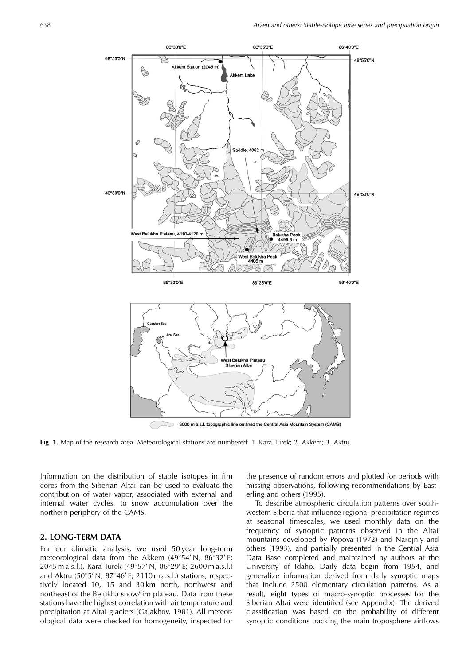

Fig. 1. Map of the research area. Meteorological stations are numbered: 1. Kara-Turek; 2. Akkem; 3. Aktru.

Information on the distribution of stable isotopes in firn cores from the Siberian Altai can be used to evaluate the contribution of water vapor, associated with external and internal water cycles, to snow accumulation over the northern periphery of the CAMS.

#### 2. LONG-TERM DATA

For our climatic analysis, we used 50 year long-term meteorological data from the Akkem  $(49^{\circ}54' N, 86^{\circ}32' E;$ 2045 m a.s.l.), Kara-Turek (49°57' N, 86°29' E; 2600 m a.s.l.) and Aktru  $(50^{\circ}5' N, 87^{\circ}46' E; 2110 m a.s.l.)$  stations, respectively located 10, 15 and 30km north, northwest and northeast of the Belukha snow/firn plateau. Data from these stations have the highest correlation with air temperature and precipitation at Altai glaciers (Galakhov, 1981). All meteorological data were checked for homogeneity, inspected for the presence of random errors and plotted for periods with missing observations, following recommendations by Easterling and others (1995).

To describe atmospheric circulation patterns over southwestern Siberia that influence regional precipitation regimes at seasonal timescales, we used monthly data on the frequency of synoptic patterns observed in the Altai mountains developed by Popova (1972) and Narojniy and others (1993), and partially presented in the Central Asia Data Base completed and maintained by authors at the University of Idaho. Daily data begin from 1954, and generalize information derived from daily synoptic maps that include 2500 elementary circulation patterns. As a result, eight types of macro-synoptic processes for the Siberian Altai were identified (see Appendix). The derived classification was based on the probability of different synoptic conditions tracking the main troposphere airflows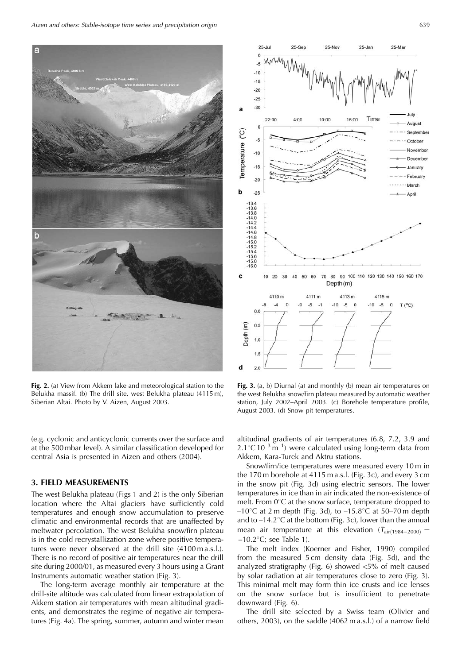Aizen and others: Stable-isotope time series and precipitation origin



Fig. 2. (a) View from Akkem lake and meteorological station to the Belukha massif. (b) The drill site, west Belukha plateau (4115 m), Siberian Altai. Photo by V. Aizen, August 2003.

(e.g. cyclonic and anticyclonic currents over the surface and at the 500 mbar level). A similar classification developed for central Asia is presented in Aizen and others (2004).

#### **3. FIELD MEASUREMENTS**

The west Belukha plateau (Figs 1 and 2) is the only Siberian location where the Altai glaciers have sufficiently cold temperatures and enough snow accumulation to preserve climatic and environmental records that are unaffected by meltwater percolation. The west Belukha snow/firn plateau is in the cold recrystallization zone where positive temperatures were never observed at the drill site (4100 m a.s.l.). There is no record of positive air temperatures near the drill site during 2000/01, as measured every 3 hours using a Grant Instruments automatic weather station (Fig. 3).

The long-term average monthly air temperature at the drill-site altitude was calculated from linear extrapolation of Akkem station air temperatures with mean altitudinal gradients, and demonstrates the regime of negative air temperatures (Fig. 4a). The spring, summer, autumn and winter mean



Fig. 3. (a, b) Diurnal (a) and monthly (b) mean air temperatures on the west Belukha snow/firn plateau measured by automatic weather station, July 2002-April 2003. (c) Borehole temperature profile, August 2003. (d) Snow-pit temperatures.

altitudinal gradients of air temperatures (6.8, 7.2, 3.9 and  $2.1^{\circ}$ C $10^{-3}$  m<sup>-1</sup>) were calculated using long-term data from Akkem, Kara-Turek and Aktru stations.

Snow/firn/ice temperatures were measured every 10 m in the 170 m borehole at 4115 m a.s.l. (Fig. 3c), and every 3 cm in the snow pit (Fig. 3d) using electric sensors. The lower temperatures in ice than in air indicated the non-existence of melt. From  $0^{\circ}$ C at the snow surface, temperature dropped to  $-10^{\circ}$ C at 2 m depth (Fig. 3d), to  $-15.8^{\circ}$ C at 50–70 m depth and to  $-14.2$ °C at the bottom (Fig. 3c), lower than the annual mean air temperature at this elevation  $(\bar{T}_{air(1984-2000)}$  =  $-10.2$ °C; see Table 1).

The melt index (Koerner and Fisher, 1990) compiled from the measured 5 cm density data (Fig. 5d), and the analyzed stratigraphy (Fig. 6) showed  $<$ 5% of melt caused by solar radiation at air temperatures close to zero (Fig. 3). This minimal melt may form thin ice crusts and ice lenses on the snow surface but is insufficient to penetrate downward (Fig. 6).

The drill site selected by a Swiss team (Olivier and others, 2003), on the saddle (4062 m a.s.l.) of a narrow field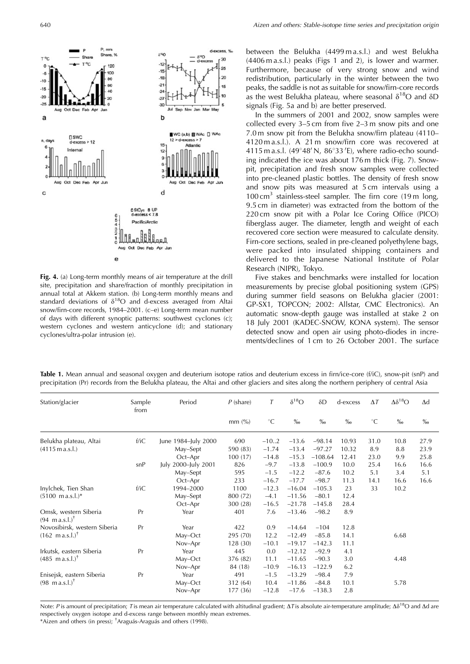

Fig. 4. (a) Long-term monthly means of air temperature at the drill site, precipitation and share/fraction of monthly precipitation in annual total at Akkem station. (b) Long-term monthly means and standard deviations of  $\delta^{18}O$  and d-excess averaged from Altai snow/firn-core records, 1984-2001. (c-e) Long-term mean number of days with different synoptic patterns: southwest cyclones (c); western cyclones and western anticyclone (d); and stationary cyclones/ultra-polar intrusion (e).

between the Belukha (4499 m a.s.l.) and west Belukha (4406 m a.s.l.) peaks (Figs 1 and 2), is lower and warmer. Furthermore, because of very strong snow and wind redistribution, particularly in the winter between the two peaks, the saddle is not as suitable for snow/firn-core records as the west Belukha plateau, where seasonal  $\delta^{18}O$  and  $\delta D$ signals (Fig. 5a and b) are better preserved.

In the summers of 2001 and 2002, snow samples were collected every 3–5 cm from five 2–3 m snow pits and one 7.0 m snow pit from the Belukha snow/firn plateau (4110– 4120 m a.s.l.). A 21 m snow/firn core was recovered at 4115 m a.s.l. (49°48' N, 86°33'E), where radio-echo sounding indicated the ice was about 176 m thick (Fig. 7). Snowpit, precipitation and fresh snow samples were collected into pre-cleaned plastic bottles. The density of fresh snow and snow pits was measured at 5 cm intervals using a 100 cm<sup>3</sup> stainless-steel sampler. The firn core (19 m long, 9.5 cm in diameter) was extracted from the bottom of the 220 cm snow pit with a Polar Ice Coring Office (PICO) fiberglass auger. The diameter, length and weight of each recovered core section were measured to calculate density. Firn-core sections, sealed in pre-cleaned polyethylene bags, were packed into insulated shipping containers and delivered to the Japanese National Institute of Polar Research (NIPR), Tokyo.

Five stakes and benchmarks were installed for location measurements by precise global positioning system (GPS) during summer field seasons on Belukha glacier (2001: GP-SX1, TOPCON; 2002: Allstar, CMC Electronics). An automatic snow-depth gauge was installed at stake 2 on 18 July 2001 (KADEC-SNOW, KONA system). The sensor detected snow and open air using photo-diodes in increments/declines of 1 cm to 26 October 2001. The surface

Table 1. Mean annual and seasonal oxygen and deuterium isotope ratios and deuterium excess in firn/ice-core (f/iC), snow-pit (snP) and precipitation (Pr) records from the Belukha plateau, the Altai and other glaciers and sites along the northern periphery of central Asia

| Station/glacier                                           | Sample<br>from | Period              | $P$ (share)          | $\tau$          | $\delta^{18}O$      | δD                  | d-excess    | $\Delta T$  | $\Delta\delta^{18}O$ | $\Delta d$        |
|-----------------------------------------------------------|----------------|---------------------|----------------------|-----------------|---------------------|---------------------|-------------|-------------|----------------------|-------------------|
|                                                           |                |                     | $mm$ (%)             | $^{\circ}C$     | $\%$                | $\%$ <sub>0</sub>   | $\%0$       | $^{\circ}C$ | $\%$ <sub>0</sub>    | $\%$ <sub>0</sub> |
| Belukha plateau, Altai                                    | f/iC           | June 1984-July 2000 | 690                  | $-10.2$         | $-13.6$             | $-98.14$            | 10.93       | 31.0        | 10.8                 | 27.9              |
| $(4115 \text{ m a.s.}$ .                                  |                | May-Sept            | 590 (83)             | $-1.74$         | $-13.4$             | $-97.27$            | 10.32       | 8.9         | 8.8                  | 23.9              |
|                                                           |                | Oct-Apr             | 100(17)              | $-14.8$         | $-15.3$             | $-108.64$           | 12.41       | 23.0        | 9.9                  | 25.8              |
|                                                           | snP            | July 2000-July 2001 | 826                  | $-9.7$          | $-13.8$             | $-100.9$            | 10.0        | 25.4        | 16.6                 | 16.6              |
|                                                           |                | May-Sept            | 595                  | $-1.5$          | $-12.2$             | $-87.6$             | 10.2        | 5.1         | 3.4                  | 5.1               |
|                                                           |                | Oct-Apr             | 233                  | $-16.7$         | $-17.7$             | $-98.7$             | 11.3        | 14.1        | 16.6                 | 16.6              |
| Inylchek, Tien Shan                                       | f/iC           | 1994-2000           | 1100                 | $-12.3$         | $-16.04$            | $-105.3$            | 23          | 33          | 10.2                 |                   |
| $(5100 \text{ m a.s.}!)^*$                                |                | May-Sept            | 800 (72)             | $-4.1$          | $-11.56$            | $-80.1$             | 12.4        |             |                      |                   |
|                                                           |                | Oct-Apr             | 300 (28)             | $-16.5$         | $-21.78$            | $-145.8$            | 28.4        |             |                      |                   |
| Omsk, western Siberia<br>$(94 \text{ m a.s.}!)^{\dagger}$ | Pr             | Year                | 401                  | 7.6             | $-13.46$            | $-98.2$             | 8.9         |             |                      |                   |
| Novosibirsk, western Siberia                              | Pr             | Year                | 422                  | 0.9             | $-14.64$            | $-104$              | 12.8        |             |                      |                   |
| $(162 \text{ mas.} \text{L})^{\dagger}$                   |                | May-Oct             | 295 (70)             | 12.2            | $-12.49$            | $-85.8$             | 14.1        |             | 6.68                 |                   |
|                                                           |                | Nov-Apr             | 128(30)              | $-10.1$         | $-19.17$            | $-142.3$            | 11.1        |             |                      |                   |
| Irkutsk, eastern Siberia                                  | Pr             | Year                | 445                  | 0.0             | $-12.12$            | $-92.9$             | 4.1         |             |                      |                   |
| $(485 \text{ mas.} \text{L})^{\dagger}$                   |                | May-Oct             | 376 (82)             | 11.1            | $-11.65$            | $-90.3$             | 3.0         |             | 4.48                 |                   |
|                                                           |                | Nov-Apr             | 84 (18)              | $-10.9$         | $-16.13$            | $-122.9$            | 6.2         |             |                      |                   |
| Enisejsk, eastern Siberia                                 | Pr             | Year                | 491                  | $-1.5$          | $-13.29$            | $-98.4$             | 7.9         |             |                      |                   |
| $(98 \text{ m a.s.}!)^{\dagger}$                          |                | May-Oct<br>Nov-Apr  | 312 (64)<br>177 (36) | 10.4<br>$-12.8$ | $-11.86$<br>$-17.6$ | $-84.8$<br>$-138.3$ | 10.1<br>2.8 |             | 5.78                 |                   |

Note: P is amount of precipitation; T is mean air temperature calculated with altitudinal gradient;  $\Delta T$  is absolute air-temperature amplitude;  $\Delta \delta^{18}O$  and  $\Delta d$  are respectively oxygen isotope and d-excess range between monthly mean extremes. \*Aizen and others (in press); <sup>†</sup>Araguás-Araguás and others (1998).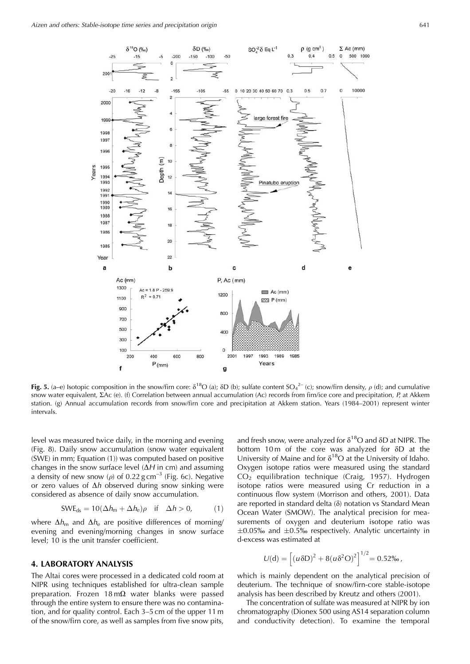

Fig. 5. (a–e) Isotopic composition in the snow/firn core:  $\delta^{18}O$  (a);  $\delta D$  (b); sulfate content SO<sub>4</sub><sup>2-</sup> (c); snow/firn density,  $\rho$  (d); and cumulative snow water equivalent, *EAc* (e). (f) Correlation between annual accumulation (Ac) records from firn/ice core and precipitation, P, at Akkem station. (g) Annual accumulation records from snow/firn core and precipitation at Akkem station. Years (1984-2001) represent winter intervals.

level was measured twice daily, in the morning and evening (Fig. 8). Daily snow accumulation (snow water equivalent (SWE) in mm; Equation (1)) was computed based on positive changes in the snow surface level  $(\Delta H$  in cm) and assuming a density of new snow ( $\rho$ ) of 0.22 g cm<sup>-3</sup> (Fig. 6c). Negative or zero values of  $\Delta h$  observed during snow sinking were considered as absence of daily snow accumulation.

$$
SWE_{ds} = 10(\Delta h_m + \Delta h_e)\rho \quad \text{if} \quad \Delta h > 0,\tag{1}
$$

where  $\Delta h_{\rm m}$  and  $\Delta h_{\rm e}$  are positive differences of morning/ evening and evening/morning changes in snow surface level; 10 is the unit transfer coefficient.

# **4. LABORATORY ANALYSIS**

The Altai cores were processed in a dedicated cold room at NIPR using techniques established for ultra-clean sample preparation. Frozen  $18 \text{ m}\Omega$  water blanks were passed through the entire system to ensure there was no contamination, and for quality control. Each 3-5 cm of the upper 11 m of the snow/firn core, as well as samples from five snow pits,

and fresh snow, were analyzed for  $\delta^{18}O$  and  $\delta D$  at NIPR. The bottom 10m of the core was analyzed for  $\delta D$  at the University of Maine and for  $\delta^{18}O$  at the University of Idaho. Oxygen isotope ratios were measured using the standard CO<sub>2</sub> equilibration technique (Craig, 1957). Hydrogen isotope ratios were measured using Cr reduction in a continuous flow system (Morrison and others, 2001). Data are reported in standard delta  $(\delta)$  notation vs Standard Mean Ocean Water (SMOW). The analytical precision for measurements of oxygen and deuterium isotope ratio was  $\pm 0.05\%$  and  $\pm 0.5\%$  respectively. Analytic uncertainty in d-excess was estimated at

$$
U(\mathrm{d}) = \left[ (u \delta D)^2 + 8(u \delta^2 O)^2 \right]^{1/2} = 0.52\%.
$$

which is mainly dependent on the analytical precision of deuterium. The technique of snow/firn-core stable-isotope analysis has been described by Kreutz and others (2001).

The concentration of sulfate was measured at NIPR by ion chromatography (Dionex 500 using AS14 separation column and conductivity detection). To examine the temporal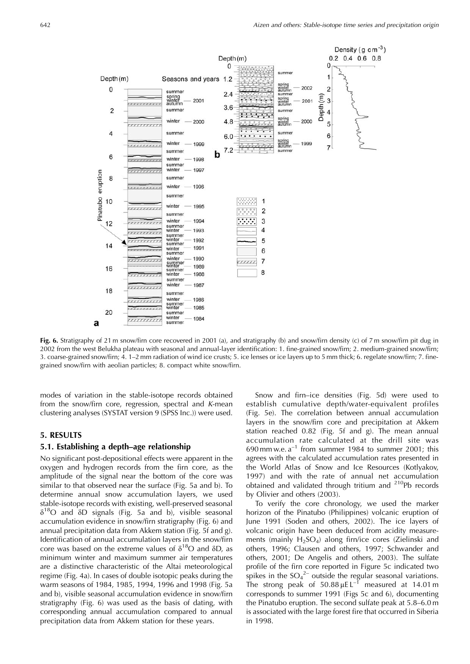

Fig. 6. Stratigraphy of 21 m snow/firn core recovered in 2001 (a), and stratigraphy (b) and snow/firn density (c) of 7 m snow/firn pit dug in 2002 from the west Belukha plateau with seasonal and annual-layer identification: 1. fine-grained snow/firn; 2. medium-grained snow/firn; 3. coarse-grained snow/firn; 4. 1-2 mm radiation of wind ice crusts; 5. ice lenses or ice layers up to 5 mm thick; 6. regelate snow/firn; 7. finegrained snow/firn with aeolian particles; 8. compact white snow/firn.

modes of variation in the stable-isotope records obtained from the snow/firn core, regression, spectral and K-mean clustering analyses (SYSTAT version 9 (SPSS Inc.)) were used.

#### **5. RESULTS**

# 5.1. Establishing a depth–age relationship

No significant post-depositional effects were apparent in the oxygen and hydrogen records from the firn core, as the amplitude of the signal near the bottom of the core was similar to that observed near the surface (Fig. 5a and b). To determine annual snow accumulation layers, we used stable-isotope records with existing, well-preserved seasonal  $\delta^{18}$ O and  $\delta$ D signals (Fig. 5a and b), visible seasonal accumulation evidence in snow/firn stratigraphy (Fig. 6) and annual precipitation data from Akkem station (Fig. 5f and g). Identification of annual accumulation layers in the snow/firn core was based on the extreme values of  $\delta^{18}O$  and  $\delta D$ , as minimum winter and maximum summer air temperatures are a distinctive characteristic of the Altai meteorological regime (Fig. 4a). In cases of double isotopic peaks during the warm seasons of 1984, 1985, 1994, 1996 and 1998 (Fig. 5a and b), visible seasonal accumulation evidence in snow/firn stratigraphy (Fig. 6) was used as the basis of dating, with corresponding annual accumulation compared to annual precipitation data from Akkem station for these years.

Snow and firn-ice densities (Fig. 5d) were used to establish cumulative depth/water-equivalent profiles (Fig. 5e). The correlation between annual accumulation layers in the snow/firn core and precipitation at Akkem station reached 0.82 (Fig. 5f and g). The mean annual accumulation rate calculated at the drill site was 690 mm w.e.  $a^{-1}$  from summer 1984 to summer 2001; this agrees with the calculated accumulation rates presented in the World Atlas of Snow and Ice Resources (Kotlyakov, 1997) and with the rate of annual net accumulation obtained and validated through tritium and <sup>210</sup>Pb records by Olivier and others (2003).

To verify the core chronology, we used the marker horizon of the Pinatubo (Philippines) volcanic eruption of June 1991 (Soden and others, 2002). The ice layers of volcanic origin have been deduced from acidity measurements (mainly  $H_2SO_4$ ) along firn/ice cores (Zielinski and others, 1996; Clausen and others, 1997; Schwander and others, 2001; De Angelis and others, 2003). The sulfate profile of the firn core reported in Figure 5c indicated two spikes in the  $SO_4^2$  outside the regular seasonal variations. The strong peak of  $50.88 \mu E L^{-1}$  measured at 14.01 m corresponds to summer 1991 (Figs 5c and 6), documenting the Pinatubo eruption. The second sulfate peak at 5.8–6.0 m is associated with the large forest fire that occurred in Siberia in 1998.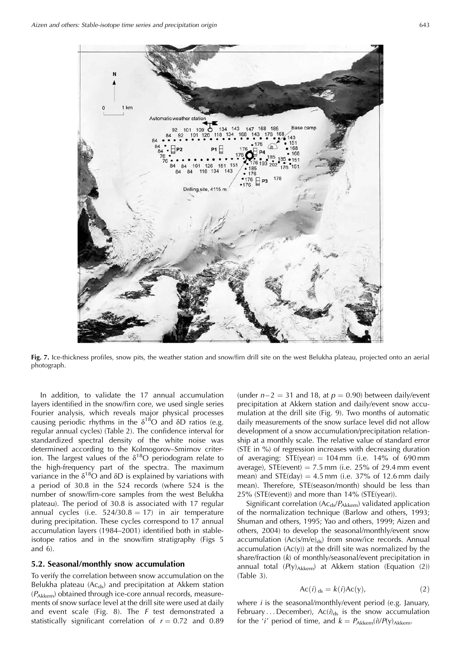

Fig. 7. Ice-thickness profiles, snow pits, the weather station and snow/firn drill site on the west Belukha plateau, projected onto an aerial photograph.

In addition, to validate the 17 annual accumulation layers identified in the snow/firn core, we used single series Fourier analysis, which reveals major physical processes causing periodic rhythms in the  $\delta^{18}O$  and  $\delta D$  ratios (e.g. regular annual cycles) (Table 2). The confidence interval for standardized spectral density of the white noise was determined according to the Kolmogorov-Smirnov criterion. The largest values of the  $\delta^{18}O$  periodogram relate to the high-frequency part of the spectra. The maximum variance in the  $\delta^{18}O$  and  $\delta D$  is explained by variations with a period of 30.8 in the 524 records (where 524 is the number of snow/firn-core samples from the west Belukha plateau). The period of 30.8 is associated with 17 regular annual cycles (i.e.  $524/30.8 = 17$ ) in air temperature during precipitation. These cycles correspond to 17 annual accumulation layers (1984–2001) identified both in stableisotope ratios and in the snow/firn stratigraphy (Figs 5 and  $6$ ).

# 5.2. Seasonal/monthly snow accumulation

To verify the correlation between snow accumulation on the Belukha plateau (Acds) and precipitation at Akkem station  $(P_{Akkem})$  obtained through ice-core annual records, measurements of snow surface level at the drill site were used at daily and event scale (Fig. 8). The  $F$  test demonstrated a statistically significant correlation of  $r = 0.72$  and 0.89

(under  $n-2 = 31$  and 18, at  $p = 0.90$ ) between daily/event precipitation at Akkem station and daily/event snow accumulation at the drill site (Fig. 9). Two months of automatic daily measurements of the snow surface level did not allow development of a snow accumulation/precipitation relationship at a monthly scale. The relative value of standard error (STE in %) of regression increases with decreasing duration of averaging:  $STE(year) = 104$  mm (i.e. 14% of 690 mm average), STE(event) =  $7.5$  mm (i.e.  $25\%$  of 29.4 mm event mean) and  $STE(\text{day}) = 4.5$  mm (i.e. 37% of 12.6 mm daily mean). Therefore, STE(season/month) should be less than 25% (STE(event)) and more than 14% (STE(year)).

Significant correlation (Ac<sub>ds</sub>/P<sub>Akkem</sub>) validated application of the normalization technique (Barlow and others, 1993; Shuman and others, 1995; Yao and others, 1999; Aizen and others, 2004) to develop the seasonal/monthly/event snow accumulation (Ac(s/m/e)<sub>ds</sub>) from snow/ice records. Annual  $\alpha$  accumulation (Ac(y)) at the drill site was normalized by the share/fraction  $(k)$  of monthly/seasonal/event precipitation in annual total  $(P(y)_{Akkem})$  at Akkem station (Equation (2))  $(Table 3).$ 

$$
Ac(i)_{ds} = k(i)Ac(y),
$$
 (2)

where *i* is the seasonal/monthly/event period (e.g. January, February...December),  $Ac(i)_{ds}$  is the snow accumulation for the '*i*' period of time, and  $k = P_{Akkem}(i)/P(y)_{Akkem}$ .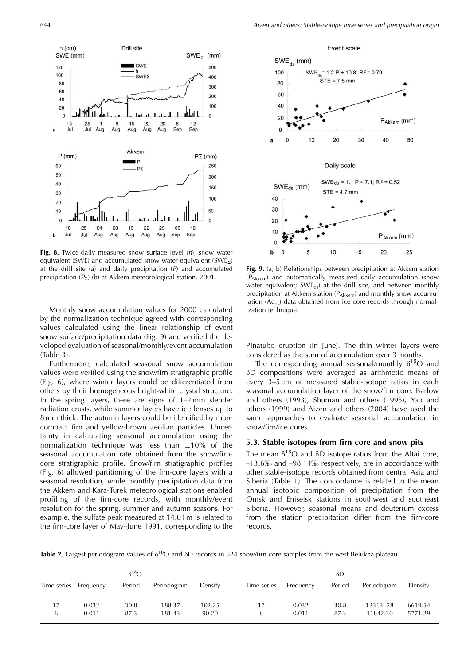$h$  (cm)

120

100

 $80$ 

60

40

20  $\overline{0}$ 

 $\overline{a}$ 

60

50

40

30

20

10

 $\mathbf 0$ 18 25

18

Jul

 $P$  (mm)

25

Jul

Aug

 $01$ 

08 15 22 29

SWE (mm)



Drill site

SWF

**SWET** 

 $\mathbf{d}$ 

 $29$ 

5

Sep

05  $12$ 

12

Sep

 $1 - 1$ 

Aug Aug Aug

Akkem

P<sub>2</sub>

 $\mathbf{8}$ 15  $22$ 

Aug

SWE  $<sub>z</sub>$  (mm)</sub>

500

400

300

200

 $100$ 

 $\overline{0}$ 

 $P\Sigma$  (mm)

250

200

150

100

50

 $\mathbf{0}$ 

Monthly snow accumulation values for 2000 calculated by the normalization technique agreed with corresponding values calculated using the linear relationship of event snow surface/precipitation data (Fig. 9) and verified the developed evaluation of seasonal/monthly/event accumulation  $(Table 3).$ 

Furthermore, calculated seasonal snow accumulation values were verified using the snow/firn stratigraphic profile (Fig. 6), where winter layers could be differentiated from others by their homogeneous bright-white crystal structure. In the spring layers, there are signs of  $1-2$  mm slender radiation crusts, while summer layers have ice lenses up to 8 mm thick. The autumn layers could be identified by more compact firn and yellow-brown aeolian particles. Uncertainty in calculating seasonal accumulation using the normalization technique was less than  $\pm 10\%$  of the seasonal accumulation rate obtained from the snow/firncore stratigraphic profile. Snow/firn stratigraphic profiles (Fig. 6) allowed partitioning of the firn-core layers with a seasonal resolution, while monthly precipitation data from the Akkem and Kara-Turek meteorological stations enabled profiling of the firn-core records, with monthly/event resolution for the spring, summer and autumn seasons. For example, the sulfate peak measured at 14.01 m is related to the firn-core layer of May-June 1991, corresponding to the



Fig. 9. (a, b) Relationships between precipitation at Akkem station (PAkkem) and automatically measured daily accumulation (snow water equivalent;  $SWE_{ds}$  at the drill site, and between monthly precipitation at Akkem station (P<sub>Akkem</sub>) and monthly snow accumulation (Ac<sub>ds</sub>) data obtained from ice-core records through normalization technique.

Pinatubo eruption (in June). The thin winter layers were considered as the sum of accumulation over 3 months.

The corresponding annual seasonal/monthly  $\delta^{18}O$  and δD compositions were averaged as arithmetic means of every 3-5 cm of measured stable-isotope ratios in each seasonal accumulation layer of the snow/firn core. Barlow and others (1993), Shuman and others (1995), Yao and others (1999) and Aizen and others (2004) have used the same approaches to evaluate seasonal accumulation in snow/firn/ice cores.

#### 5.3. Stable isotopes from firn core and snow pits

The mean  $\delta^{18}O$  and  $\delta D$  isotope ratios from the Altai core,  $-13.6\%$  and  $-98.14\%$  respectively, are in accordance with other stable-isotope records obtained from central Asia and Siberia (Table 1). The concordance is related to the mean annual isotopic composition of precipitation from the Omsk and Eniseisk stations in southwest and southeast Siberia. However, seasonal means and deuterium excess from the station precipitation differ from the firn-core records.

Table 2. Largest periodogram values of  $\delta^{18}O$  and  $\delta D$  records in 524 snow/firn-core samples from the west Belukha plateau

|             |                | $\delta^{18}O$ |                  |                 |             |                | δD           |                       |                    |
|-------------|----------------|----------------|------------------|-----------------|-------------|----------------|--------------|-----------------------|--------------------|
| Time series | Frequency      | Period         | Periodogram      | Density         | Time series | Frequency      | Period       | Periodogram           | Density            |
| 6           | 0.032<br>0.011 | 30.8<br>87.3   | 188.37<br>181.43 | 102.25<br>90.20 | 17<br>6     | 0.032<br>0.011 | 30.8<br>87.3 | 123131.28<br>11842.30 | 6619.54<br>5771.29 |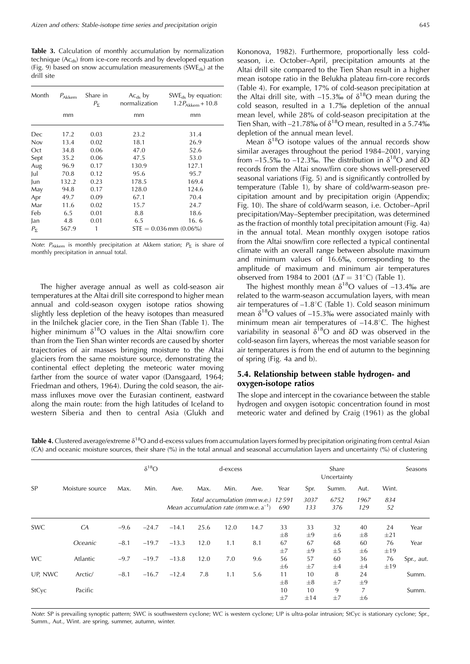Table 3. Calculation of monthly accumulation by normalization technique (Ac<sub>ds</sub>) from ice-core records and by developed equation (Fig. 9) based on snow accumulation measurements (SWE<sub>ds</sub>) at the drill site

| Month        | $P_{Akkem}$ | Share in<br>$P_{\Sigma}$ | $Ac_{ds}$ by<br>normalization | $SWE_{ds}$ by equation:<br>$1.2P_{\text{Akkem}} + 10.8$ |
|--------------|-------------|--------------------------|-------------------------------|---------------------------------------------------------|
|              | mm          |                          | mm                            | mm                                                      |
| Dec          | 17.2        | 0.03                     | 23.2                          | 31.4                                                    |
| Nov          | 13.4        | 0.02                     | 18.1                          | 26.9                                                    |
| Oct          | 34.8        | 0.06                     | 47.0                          | 52.6                                                    |
| Sept         | 35.2        | 0.06                     | 47.5                          | 53.0                                                    |
| Aug          | 96.9        | 0.17                     | 130.9                         | 127.1                                                   |
| Jul          | 70.8        | 0.12                     | 95.6                          | 95.7                                                    |
| Jun          | 132.2       | 0.23                     | 178.5                         | 169.4                                                   |
| May          | 94.8        | 0.17                     | 128.0                         | 124.6                                                   |
| Apr          | 49.7        | 0.09                     | 67.1                          | 70.4                                                    |
| Mar          | 11.6        | 0.02                     | 15.7                          | 24.7                                                    |
| Feb          | 6.5         | 0.01                     | 8.8                           | 18.6                                                    |
| Jan          | 4.8         | 0.01                     | 6.5                           | 16.6                                                    |
| $P_{\Sigma}$ | 567.9       | 1                        |                               | $STE = 0.036$ mm $(0.06\%)$                             |

Note:  $P_{Akkem}$  is monthly precipitation at Akkem station;  $P_{\Sigma}$  is share of monthly precipitation in annual total.

The higher average annual as well as cold-season air temperatures at the Altai drill site correspond to higher mean annual and cold-season oxygen isotope ratios showing slightly less depletion of the heavy isotopes than measured in the Inilchek glacier core, in the Tien Shan (Table 1). The higher minimum  $\delta^{18}O$  values in the Altai snow/firn core than from the Tien Shan winter records are caused by shorter trajectories of air masses bringing moisture to the Altai glaciers from the same moisture source, demonstrating the continental effect depleting the meteoric water moving farther from the source of water vapor (Dansgaard, 1964; Friedman and others, 1964). During the cold season, the airmass influxes move over the Eurasian continent, eastward along the main route: from the high latitudes of Iceland to western Siberia and then to central Asia (Glukh and

Kononova, 1982). Furthermore, proportionally less coldseason, i.e. October-April, precipitation amounts at the Altai drill site compared to the Tien Shan result in a higher mean isotope ratio in the Belukha plateau firn-core records (Table 4). For example, 17% of cold-season precipitation at the Altai drill site, with -15.3‰ of  $\delta^{18}$ O mean during the cold season, resulted in a 1.7% depletion of the annual mean level, while 28% of cold-season precipitation at the Tien Shan, with  $-21.78\%$  of  $\delta^{18}$ O mean, resulted in a 5.74 $\%$ depletion of the annual mean level.

Mean  $\delta^{18}O$  isotope values of the annual records show similar averages throughout the period 1984–2001, varying from  $-15.5\%$  to  $-12.3\%$ . The distribution in  $\delta^{18}O$  and  $\delta\overline{D}$ records from the Altai snow/firn core shows well-preserved seasonal variations (Fig. 5) and is significantly controlled by temperature (Table 1), by share of cold/warm-season precipitation amount and by precipitation origin (Appendix; Fig. 10). The share of cold/warm season, i.e. October-April precipitation/May-September precipitation, was determined as the fraction of monthly total precipitation amount (Fig. 4a) in the annual total. Mean monthly oxygen isotope ratios from the Altai snow/firn core reflected a typical continental climate with an overall range between absolute maximum and minimum values of 16.6‰, corresponding to the amplitude of maximum and minimum air temperatures observed from 1984 to 2001 ( $\Delta T = 31^{\circ}$ C) (Table 1).

The highest monthly mean  $\delta^{18}O$  values of -13.4‰ are related to the warm-season accumulation layers, with mean air temperatures of  $-1.8$ °C (Table 1). Cold season minimum mean  $\delta^{18}O$  values of -15.3% were associated mainly with minimum mean air temperatures of  $-14.8^{\circ}$ C. The highest variability in seasonal  $\delta^{18}O$  and  $\delta D$  was observed in the cold-season firn layers, whereas the most variable season for air temperatures is from the end of autumn to the beginning of spring (Fig. 4a and b).

# 5.4. Relationship between stable hydrogen- and oxygen-isotope ratios

The slope and intercept in the covariance between the stable hydrogen and oxygen isotopic concentration found in most meteoric water and defined by Craig (1961) as the global

|            |                 |        | $\delta^{18}O$ | d-excess                                                                          |      |      |      | Share<br>Uncertainty |                      |                          |                         | Seasons        |            |
|------------|-----------------|--------|----------------|-----------------------------------------------------------------------------------|------|------|------|----------------------|----------------------|--------------------------|-------------------------|----------------|------------|
| <b>SP</b>  | Moisture source | Max.   | Min.           | Ave.                                                                              | Max. | Min. | Ave. | Year                 | Spr.                 | Summ.                    | Aut.                    | Wint.          |            |
|            |                 |        |                | Total accumulation (mm w.e.) 12 591<br>Mean accumulation rate (mm w.e. $a^{-1}$ ) |      |      | 690  | 3037<br>133          | 6752<br>376          | 1967<br>834<br>52<br>129 |                         |                |            |
| <b>SWC</b> | CA              | $-9.6$ | $-24.7$        | $-14.1$                                                                           | 25.6 | 12.0 | 14.7 | 33                   | 33                   | 32                       | 40                      | 24             | Year       |
|            | Oceanic         | $-8.1$ | $-19.7$        | $-13.3$                                                                           | 12.0 | 1.1  | 8.1  | $\pm 8$<br>67        | $\pm 9$<br>67        | $\pm 6$<br>68            | $\pm 8$<br>60           | $\pm 21$<br>76 | Year       |
| <b>WC</b>  | Atlantic        | $-9.7$ | $-19.7$        | $-13.8$                                                                           | 12.0 | 7.0  | 9.6  | ±7<br>56             | $\pm 9$<br>57        | $\pm 5$<br>60            | $\pm 6$<br>36           | ±19<br>76      | Spr., aut. |
| UP, NWC    | Arctic/         | $-8.1$ | $-16.7$        | $-12.4$                                                                           | 7.8  | 1.1  | 5.6  | $\pm 6$<br>11        | ±7<br>10             | $\pm 4$<br>8             | $\pm 4$<br>24           | $\pm$ 19       | Summ.      |
| StCyc      | Pacific         |        |                |                                                                                   |      |      |      | $\pm 8$<br>10<br>±7  | $\pm 8$<br>10<br>±14 | ±7<br>9<br>±7            | $\pm 9$<br>7<br>$\pm 6$ |                | Summ.      |

Table 4. Clustered average/extreme  $\delta^{18}O$  and d-excess values from accumulation layers formed by precipitation originating from central Asian (CA) and oceanic moisture sources, their share (%) in the total annual and seasonal accumulation layers and uncertainty (%) of clustering

Note: SP is prevailing synoptic pattern; SWC is southwestern cyclone; WC is western cyclone; UP is ultra-polar intrusion; StCyc is stationary cyclone; Spr., Summ., Aut., Wint. are spring, summer, autumn, winter.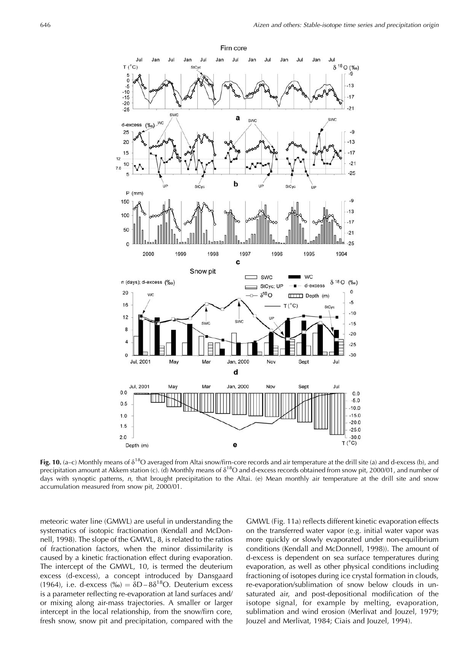

Fig. 10. (a-c) Monthly means of  $\delta^{18}O$  averaged from Altai snow/firn-core records and air temperature at the drill site (a) and d-excess (b), and precipitation amount at Akkem station (c). (d) Monthly means of  $\delta^{18}O$  and d-excess records obtained from snow pit, 2000/01, and number of days with synoptic patterns, n, that brought precipitation to the Altai. (e) Mean monthly air temperature at the drill site and snow accumulation measured from snow pit, 2000/01.

meteoric water line (GMWL) are useful in understanding the systematics of isotopic fractionation (Kendall and McDonnell, 1998). The slope of the GMWL, 8, is related to the ratios of fractionation factors, when the minor dissimilarity is caused by a kinetic fractionation effect during evaporation. The intercept of the GMWL, 10, is termed the deuterium excess (d-excess), a concept introduced by Dansgaard (1964), i.e. d-excess (‰) =  $\delta D - 8\delta^{18}O$ . Deuterium excess is a parameter reflecting re-evaporation at land surfaces and/ or mixing along air-mass trajectories. A smaller or larger intercept in the local relationship, from the snow/firn core, fresh snow, snow pit and precipitation, compared with the

GMWL (Fig. 11a) reflects different kinetic evaporation effects on the transferred water vapor (e.g. initial water vapor was more quickly or slowly evaporated under non-equilibrium conditions (Kendall and McDonnell, 1998)). The amount of d-excess is dependent on sea surface temperatures during evaporation, as well as other physical conditions including fractioning of isotopes during ice crystal formation in clouds, re-evaporation/sublimation of snow below clouds in unsaturated air, and post-depositional modification of the isotope signal, for example by melting, evaporation, sublimation and wind erosion (Merlivat and Jouzel, 1979; Jouzel and Merlivat, 1984; Ciais and Jouzel, 1994).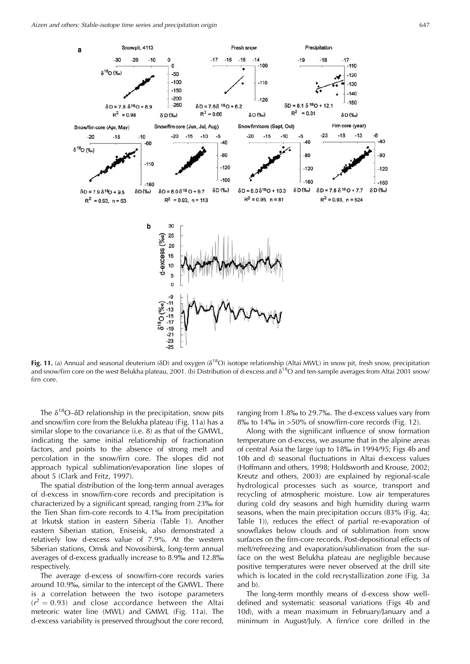

Fig. 11. (a) Annual and seasonal deuterium ( $\delta D$ ) and oxygen ( $\delta^{18}O$ ) isotope relationship (Altai MWL) in snow pit, fresh snow, precipitation and snow/firn core on the west Belukha plateau, 2001. (b) Distribution of d-excess and  $\delta^{18}O$  and ten-sample averages from Altai 2001 snow/ firn core.

The  $\delta^{18}O$ – $\delta$ D relationship in the precipitation, snow pits and snow/firn core from the Belukha plateau (Fig. 11a) has a similar slope to the covariance (i.e. 8) as that of the GMWL, indicating the same initial relationship of fractionation factors, and points to the absence of strong melt and percolation in the snow/firn core. The slopes did not approach typical sublimation/evaporation line slopes of about 5 (Clark and Fritz, 1997).

The spatial distribution of the long-term annual averages of d-excess in snow/firn-core records and precipitation is characterized by a significant spread, ranging from 23‰ for the Tien Shan firn-core records to 4.1% from precipitation at Irkutsk station in eastern Siberia (Table 1). Another eastern Siberian station, Eniseisk, also demonstrated a relatively low d-excess value of 7.9%. At the western Siberian stations, Omsk and Novosibirsk, long-term annual averages of d-excess gradually increase to 8.9‰ and 12.8‰ respectively.

The average d-excess of snow/firn-core records varies around 10.9‰, similar to the intercept of the GMWL. There is a correlation between the two isotope parameters  $(r^2 = 0.93)$  and close accordance between the Altai meteoric water line (MWL) and GMWL (Fig. 11a). The d-excess variability is preserved throughout the core record,

ranging from 1.8‰ to 29.7‰. The d-excess values vary from 8‰ to 14‰ in >50% of snow/firn-core records (Fig. 12).

Along with the significant influence of snow formation temperature on d-excess, we assume that in the alpine areas of central Asia the large (up to 18‰ in 1994/95; Figs 4b and 10b and d) seasonal fluctuations in Altai d-excess values (Hoffmann and others, 1998; Holdsworth and Krouse, 2002; Kreutz and others, 2003) are explained by regional-scale hydrological processes such as source, transport and recycling of atmospheric moisture. Low air temperatures during cold dry seasons and high humidity during warm seasons, when the main precipitation occurs (83% (Fig. 4a; Table 1)), reduces the effect of partial re-evaporation of snowflakes below clouds and of sublimation from snow surfaces on the firn-core records. Post-depositional effects of melt/refreezing and evaporation/sublimation from the surface on the west Belukha plateau are negligible because positive temperatures were never observed at the drill site which is located in the cold recrystallization zone (Fig. 3a and b).

The long-term monthly means of d-excess show welldefined and systematic seasonal variations (Figs 4b and 10d), with a mean maximum in February/January and a minimum in August/July. A firn/ice core drilled in the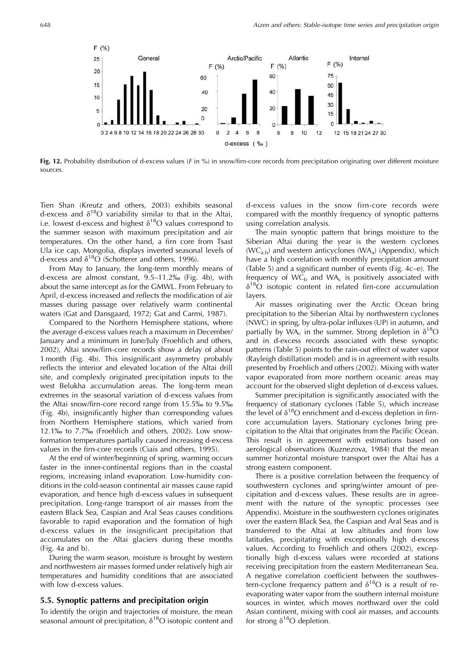

Fig. 12. Probability distribution of d-excess values ( $F$  in %) in snow/firn-core records from precipitation originating over different moisture sources.

Tien Shan (Kreutz and others, 2003) exhibits seasonal d-excess and  $\delta^{18}O$  variability similar to that in the Altai, i.e. lowest d-excess and highest  $\delta^{18}O$  values correspond to the summer season with maximum precipitation and air temperatures. On the other hand, a firn core from Tsast Ula ice cap, Mongolia, displays inverted seasonal levels of d-excess and  $\delta^{18}O$  (Schotterer and others, 1996).

From May to January, the long-term monthly means of d-excess are almost constant, 9.5-11.2% (Fig. 4b), with about the same intercept as for the GMWL. From February to April, d-excess increased and reflects the modification of air masses during passage over relatively warm continental waters (Gat and Dansgaard, 1972; Gat and Carmi, 1987).

Compared to the Northern Hemisphere stations, where the average d-excess values reach a maximum in December/ January and a minimum in June/July (Froehlich and others, 2002), Altai snow/firn-core records show a delay of about 1 month (Fig. 4b). This insignificant asymmetry probably reflects the interior and elevated location of the Altai drill site, and complexly originated precipitation inputs to the west Belukha accumulation areas. The long-term mean extremes in the seasonal variation of d-excess values from the Altai snow/firn-core record range from 15.5‰ to 9.5‰ (Fig. 4b), insignificantly higher than corresponding values from Northern Hemisphere stations, which varied from  $12.1\%$  to  $7.7\%$  (Froehlich and others, 2002). Low snowformation temperatures partially caused increasing d-excess values in the firn-core records (Ciais and others, 1995).

At the end of winter/beginning of spring, warming occurs faster in the inner-continental regions than in the coastal regions, increasing inland evaporation. Low-humidity conditions in the cold-season continental air masses cause rapid evaporation, and hence high d-excess values in subsequent precipitation. Long-range transport of air masses from the eastern Black Sea, Caspian and Aral Seas causes conditions favorable to rapid evaporation and the formation of high d-excess values in the insignificant precipitation that accumulates on the Altai glaciers during these months (Fig. 4a and b).

During the warm season, moisture is brought by western and northwestern air masses formed under relatively high air temperatures and humidity conditions that are associated with low d-excess values.

#### 5.5. Synoptic patterns and precipitation origin

To identify the origin and trajectories of moisture, the mean seasonal amount of precipitation,  $\delta^{18}O$  isotopic content and d-excess values in the snow firn-core records were compared with the monthly frequency of synoptic patterns using correlation analysis.

The main synoptic pattern that brings moisture to the Siberian Altai during the year is the western cyclones  $(WC_{a,b})$  and western anticyclones  $(WA_a)$  (Appendix), which have a high correlation with monthly precipitation amount (Table 5) and a significant number of events (Fig. 4c-e). The frequency of  $WC_b$  and  $WA_c$  is positively associated with  $\delta^{18}O$  isotopic content in related firn-core accumulation layers.

Air masses originating over the Arctic Ocean bring precipitation to the Siberian Altai by northwestern cyclones (NWC) in spring, by ultra-polar influxes (UP) in autumn, and partially by WA<sub>c</sub> in the summer. Strong depletion in  $\delta^{18}O$ and in d-excess records associated with these synoptic patterns (Table 5) points to the rain-out effect of water vapor (Rayleigh distillation model) and is in agreement with results presented by Froehlich and others (2002). Mixing with water vapor evaporated from more northern oceanic areas may account for the observed slight depletion of d-excess values.

Summer precipitation is significantly associated with the frequency of stationary cyclones (Table 5), which increase the level of  $\delta^{18}O$  enrichment and d-excess depletion in firncore accumulation layers. Stationary cyclones bring precipitation to the Altai that originates from the Pacific Ocean. This result is in agreement with estimations based on aerological observations (Kuznezova, 1984) that the mean summer horizontal moisture transport over the Altai has a strong eastern component.

There is a positive correlation between the frequency of southwestern cyclones and spring/winter amount of precipitation and d-excess values. These results are in agreement with the nature of the synoptic processes (see Appendix). Moisture in the southwestern cyclones originates over the eastern Black Sea, the Caspian and Aral Seas and is transferred to the Altai at low altitudes and from low latitudes, precipitating with exceptionally high d-excess values. According to Froehlich and others (2002), exceptionally high d-excess values were recorded at stations receiving precipitation from the eastern Mediterranean Sea. A negative correlation coefficient between the southwestern-cyclone frequency pattern and  $\delta^{18}O$  is a result of reevaporating water vapor from the southern internal moisture sources in winter, which moves northward over the cold Asian continent, mixing with cool air masses, and accounts for strong  $\delta^{18}O$  depletion.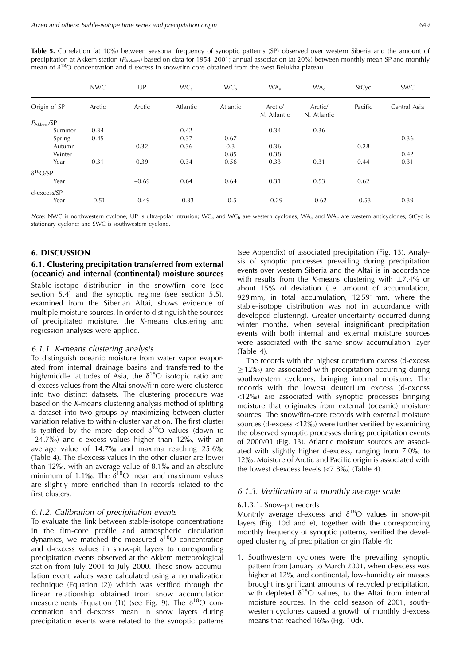$0.36$ 

 $0.42$ 

 $0.31$ 

 $0.28$ 

 $0.44$ 

 $0.62$ 

| precipitation at Akkem station ( $P_{A k k e m}$ ) based on data for 1954–2001; annual association (at 20%) between monthly mean SP and monthly<br>mean of $\delta^{18}O$ concentration and d-excess in snow/firn core obtained from the west Belukha plateau |        |        |                 |                 |                        |                        |              |              |  |  |  |
|---------------------------------------------------------------------------------------------------------------------------------------------------------------------------------------------------------------------------------------------------------------|--------|--------|-----------------|-----------------|------------------------|------------------------|--------------|--------------|--|--|--|
|                                                                                                                                                                                                                                                               | NWC.   | UP     | WC <sub>2</sub> | WC <sub>b</sub> | WA.                    | WA.                    | <b>StCvc</b> | <b>SWC</b>   |  |  |  |
| Origin of SP                                                                                                                                                                                                                                                  | Arctic | Arctic | Atlantic        | <b>Atlantic</b> | Arctic/<br>N. Atlantic | Arctic/<br>N. Atlantic | Pacific      | Central Asia |  |  |  |
| $P_{Akkem}/SP$<br>Summer                                                                                                                                                                                                                                      | 0.34   |        | 0.42            |                 | 0.34                   | 0.36                   |              |              |  |  |  |

0.67

 $0.3$ 

0.85

0.56

 $0.64$ 

0.36

0.38

0.33

 $0.31$ 

0.37

0.36

0.34

 $0.64$ 

Table 5. Correlation (at 10%) between seasonal frequency of synoptic patterns (SP) observed over western Siberia and the amount of

| .                   |         | ------- | ------                                                                                                                                                                                                                        | ----   |         | ----                                                                                                            | ----    |      |  |
|---------------------|---------|---------|-------------------------------------------------------------------------------------------------------------------------------------------------------------------------------------------------------------------------------|--------|---------|-----------------------------------------------------------------------------------------------------------------|---------|------|--|
| d-excess/SP<br>Year | $-0.51$ | $-0.49$ | $-0.33$                                                                                                                                                                                                                       | $-0.5$ | $-0.29$ | $-0.62$                                                                                                         | $-0.53$ | 0.39 |  |
|                     |         |         | 그 사람들은 그 사람들은 그 사람들은 그 사람들을 지르며 그 사람들을 만들고 있다. 그 사람들은 그 사람들은 그 사람들은 그 사람들을 지르며 그 사람들을 지르며 그 사람들을 지르며 그 사람들을 지르며 지르며 그 사람들을 지르며 그 사람들을 지르며 그 사람들을 지르며 그 사람들을 지르며 그 사람들을 지르며 그 사람들을 지르며 그 사람들을 지르며 그 사람들을 지르며 그 사람들을 지르며 그 사람들을 |        |         | the contract of the contract of the contract of the contract of the contract of the contract of the contract of |         |      |  |

Note: NWC is northwestern cyclone; UP is ultra-polar intrusion; WC<sub>a</sub> and WC<sub>b</sub> are western cyclones; WA<sub>a</sub> and WA<sub>c</sub> are western anticyclones; StCyc is stationary cyclone; and SWC is southwestern cyclone.

# 6. DISCUSSION

Spring

Autumn

Winter

Year

Year

 $\delta^{18}O/SP$ 

# 6.1. Clustering precipitation transferred from external (oceanic) and internal (continental) moisture sources

0.32

0.39

 $-0.69$ 

Stable-isotope distribution in the snow/firn core (see section 5.4) and the synoptic regime (see section 5.5), examined from the Siberian Altai, shows evidence of multiple moisture sources. In order to distinguish the sources of precipitated moisture, the K-means clustering and regression analyses were applied.

#### 6.1.1. K-means clustering analysis

 $0.45$ 

 $0.31$ 

To distinguish oceanic moisture from water vapor evaporated from internal drainage basins and transferred to the high/middle latitudes of Asia, the  $\delta^{18}O$  isotopic ratio and d-excess values from the Altai snow/firn core were clustered into two distinct datasets. The clustering procedure was based on the K-means clustering analysis method of splitting a dataset into two groups by maximizing between-cluster variation relative to within-cluster variation. The first cluster is typified by the more depleted  $\delta^{18}O$  values (down to  $-24.7\%$ ) and d-excess values higher than 12%, with an average value of 14.7% and maxima reaching 25.6% (Table 4). The d-excess values in the other cluster are lower than 12‰, with an average value of 8.1‰ and an absolute minimum of 1.1‰. The  $\delta^{18}O$  mean and maximum values are slightly more enriched than in records related to the first clusters.

#### 6.1.2. Calibration of precipitation events

To evaluate the link between stable-isotope concentrations in the firn-core profile and atmospheric circulation dynamics, we matched the measured  $\delta^{18}O$  concentration and d-excess values in snow-pit layers to corresponding precipitation events observed at the Akkem meteorological station from July 2001 to July 2000. These snow accumulation event values were calculated using a normalization technique (Equation (2)) which was verified through the linear relationship obtained from snow accumulation measurements (Equation (1)) (see Fig. 9). The  $\delta^{18}O$  concentration and d-excess mean in snow layers during precipitation events were related to the synoptic patterns

(see Appendix) of associated precipitation (Fig. 13). Analysis of synoptic processes prevailing during precipitation events over western Siberia and the Altai is in accordance with results from the K-means clustering with  $\pm$ 7.4% or about 15% of deviation (i.e. amount of accumulation, 929 mm, in total accumulation, 12591 mm, where the stable-isotope distribution was not in accordance with developed clustering). Greater uncertainty occurred during winter months, when several insignificant precipitation events with both internal and external moisture sources were associated with the same snow accumulation layer  $(Table 4)$ .

 $0.31$ 

 $0.53$ 

The records with the highest deuterium excess (d-excess)  $\geq$  12‰) are associated with precipitation occurring during southwestern cyclones, bringing internal moisture. The records with the lowest deuterium excess (d-excess <12\% are associated with synoptic processes bringing moisture that originates from external (oceanic) moisture sources. The snow/firn-core records with external moisture sources (d-excess <12‰) were further verified by examining the observed synoptic processes during precipitation events of 2000/01 (Fig. 13). Atlantic moisture sources are associated with slightly higher d-excess, ranging from 7.0‰ to 12‰. Moisture of Arctic and Pacific origin is associated with the lowest d-excess levels  $(<7.8\%)$  (Table 4).

#### 6.1.3. Verification at a monthly average scale

#### 6.1.3.1. Snow-pit records

Monthly average d-excess and  $\delta^{18}O$  values in snow-pit layers (Fig. 10d and e), together with the corresponding monthly frequency of synoptic patterns, verified the developed clustering of precipitation origin (Table 4):

1. Southwestern cyclones were the prevailing synoptic pattern from January to March 2001, when d-excess was higher at 12‰ and continental, low-humidity air masses brought insignificant amounts of recycled precipitation, with depleted  $\delta^{18}O$  values, to the Altai from internal moisture sources. In the cold season of 2001, southwestern cyclones caused a growth of monthly d-excess means that reached 16‰ (Fig. 10d).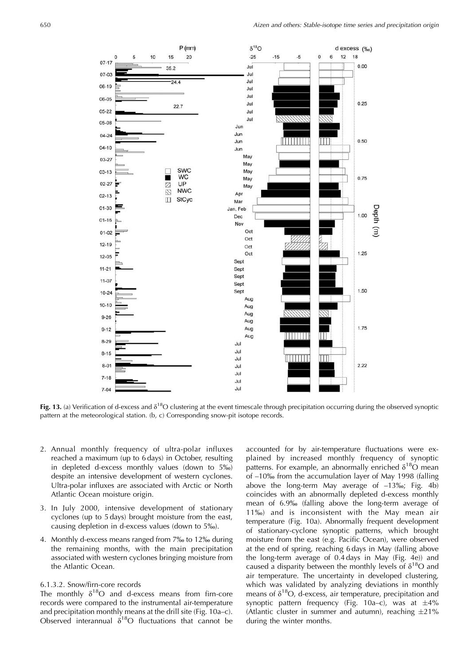

Fig. 13. (a) Verification of d-excess and  $\delta^{18}O$  clustering at the event timescale through precipitation occurring during the observed synoptic pattern at the meteorological station. (b, c) Corresponding snow-pit isotope records.

- 2. Annual monthly frequency of ultra-polar influxes reached a maximum (up to 6 days) in October, resulting in depleted d-excess monthly values (down to 5%) despite an intensive development of western cyclones. Ultra-polar influxes are associated with Arctic or North Atlantic Ocean moisture origin.
- 3. In July 2000, intensive development of stationary cyclones (up to 5 days) brought moisture from the east, causing depletion in d-excess values (down to 5‰).
- 4. Monthly d-excess means ranged from 7% to 12% during the remaining months, with the main precipitation associated with western cyclones bringing moisture from the Atlantic Ocean.

# 6.1.3.2. Snow/firn-core records

The monthly  $\delta^{18}O$  and d-excess means from firn-core records were compared to the instrumental air-temperature and precipitation monthly means at the drill site (Fig. 10a-c). Observed interannual  $\delta^{18}O$  fluctuations that cannot be

accounted for by air-temperature fluctuations were explained by increased monthly frequency of synoptic patterns. For example, an abnormally enriched  $\delta^{18}O$  mean of -10‰ from the accumulation layer of May 1998 (falling above the long-term May average of  $-13\%$ ; Fig. 4b) coincides with an abnormally depleted d-excess monthly mean of 6.9% (falling above the long-term average of 11‰) and is inconsistent with the May mean air temperature (Fig. 10a). Abnormally frequent development of stationary-cyclone synoptic patterns, which brought moisture from the east (e.g. Pacific Ocean), were observed at the end of spring, reaching 6 days in May (falling above the long-term average of 0.4 days in May (Fig. 4e)) and caused a disparity between the monthly levels of  $\delta^{18}O$  and air temperature. The uncertainty in developed clustering, which was validated by analyzing deviations in monthly means of  $\delta^{18}O$ , d-excess, air temperature, precipitation and synoptic pattern frequency (Fig. 10a–c), was at  $\pm 4\%$ (Atlantic cluster in summer and autumn), reaching  $\pm 21\%$ during the winter months.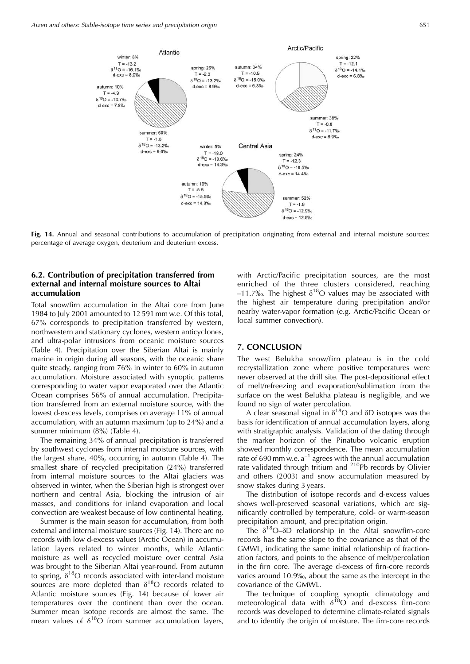

Fig. 14. Annual and seasonal contributions to accumulation of precipitation originating from external and internal moisture sources: percentage of average oxygen, deuterium and deuterium excess.

# 6.2. Contribution of precipitation transferred from external and internal moisture sources to Altai accumulation

Total snow/firn accumulation in the Altai core from June 1984 to July 2001 amounted to 12 591 mm w.e. Of this total, 67% corresponds to precipitation transferred by western, northwestern and stationary cyclones, western anticyclones, and ultra-polar intrusions from oceanic moisture sources (Table 4). Precipitation over the Siberian Altai is mainly marine in origin during all seasons, with the oceanic share quite steady, ranging from 76% in winter to 60% in autumn accumulation. Moisture associated with synoptic patterns corresponding to water vapor evaporated over the Atlantic Ocean comprises 56% of annual accumulation. Precipitation transferred from an external moisture source, with the lowest d-excess levels, comprises on average 11% of annual accumulation, with an autumn maximum (up to 24%) and a summer minimum (8%) (Table 4).

The remaining 34% of annual precipitation is transferred by southwest cyclones from internal moisture sources, with the largest share, 40%, occurring in autumn (Table 4). The smallest share of recycled precipitation (24%) transferred from internal moisture sources to the Altai glaciers was observed in winter, when the Siberian high is strongest over northern and central Asia, blocking the intrusion of air masses, and conditions for inland evaporation and local convection are weakest because of low continental heating.

Summer is the main season for accumulation, from both external and internal moisture sources (Fig. 14). There are no records with low d-excess values (Arctic Ocean) in accumulation layers related to winter months, while Atlantic moisture as well as recycled moisture over central Asia was brought to the Siberian Altai year-round. From autumn to spring,  $\delta^{18}O$  records associated with inter-land moisture sources are more depleted than  $\delta^{18}O$  records related to Atlantic moisture sources (Fig. 14) because of lower air temperatures over the continent than over the ocean. Summer mean isotope records are almost the same. The mean values of  $\delta^{18}O$  from summer accumulation layers,

with Arctic/Pacific precipitation sources, are the most enriched of the three clusters considered, reaching -11.7‰. The highest  $\delta^{18}O$  values may be associated with the highest air temperature during precipitation and/or nearby water-vapor formation (e.g. Arctic/Pacific Ocean or local summer convection).

# 7. CONCLUSION

The west Belukha snow/firn plateau is in the cold recrystallization zone where positive temperatures were never observed at the drill site. The post-depositional effect of melt/refreezing and evaporation/sublimation from the surface on the west Belukha plateau is negligible, and we found no sign of water percolation.

A clear seasonal signal in  $\delta^{18}O$  and  $\delta D$  isotopes was the basis for identification of annual accumulation layers, along with stratigraphic analysis. Validation of the dating through the marker horizon of the Pinatubo volcanic eruption showed monthly correspondence. The mean accumulation rate of 690 mm w.e.  $a^{-1}$  agrees with the annual accumulation rate validated through tritium and <sup>210</sup>Pb records by Olivier and others (2003) and snow accumulation measured by snow stakes during 3 years.

The distribution of isotope records and d-excess values shows well-preserved seasonal variations, which are significantly controlled by temperature, cold- or warm-season precipitation amount, and precipitation origin.

The  $\delta^{18}O-\delta D$  relationship in the Altai snow/firn-core records has the same slope to the covariance as that of the GMWL, indicating the same initial relationship of fractionation factors, and points to the absence of melt/percolation in the firn core. The average d-excess of firn-core records varies around 10.9‰, about the same as the intercept in the covariance of the GMWL.

The technique of coupling synoptic climatology and meteorological data with  $\delta^{18}$ O and d-excess firn-core records was developed to determine climate-related signals and to identify the origin of moisture. The firn-core records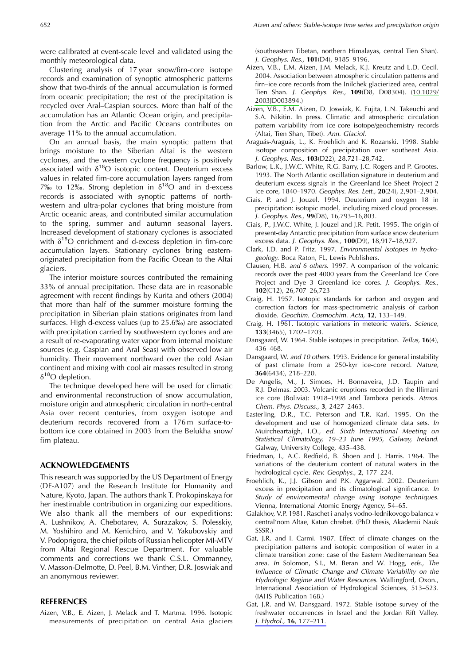were calibrated at event-scale level and validated using the monthly meteorological data.

Clustering analysis of 17 year snow/firn-core isotope records and examination of synoptic atmospheric patterns show that two-thirds of the annual accumulation is formed from oceanic precipitation; the rest of the precipitation is recycled over Aral-Caspian sources. More than half of the accumulation has an Atlantic Ocean origin, and precipitation from the Arctic and Pacific Oceans contributes on average 11% to the annual accumulation.

On an annual basis, the main synoptic pattern that brings moisture to the Siberian Altai is the western cyclones, and the western cyclone frequency is positively associated with  $\delta^{18}O$  isotopic content. Deuterium excess values in related firn-core accumulation layers ranged from 7‰ to 12‰. Strong depletion in  $\delta^{18}O$  and in d-excess records is associated with synoptic patterns of northwestern and ultra-polar cyclones that bring moisture from Arctic oceanic areas, and contributed similar accumulation to the spring, summer and autumn seasonal layers. Increased development of stationary cyclones is associated with  $\delta^{18}O$  enrichment and d-excess depletion in firn-core accumulation layers. Stationary cyclones bring easternoriginated precipitation from the Pacific Ocean to the Altai glaciers.

The interior moisture sources contributed the remaining 33% of annual precipitation. These data are in reasonable agreement with recent findings by Kurita and others (2004) that more than half of the summer moisture forming the precipitation in Siberian plain stations originates from land surfaces. High d-excess values (up to 25.6‰) are associated with precipitation carried by southwestern cyclones and are a result of re-evaporating water vapor from internal moisture sources (e.g. Caspian and Aral Seas) with observed low air humidity. Their movement northward over the cold Asian continent and mixing with cool air masses resulted in strong  $\delta^{18}O$  depletion.

The technique developed here will be used for climatic and environmental reconstruction of snow accumulation, moisture origin and atmospheric circulation in north-central Asia over recent centuries, from oxygen isotope and deuterium records recovered from a 176m surface-tobottom ice core obtained in 2003 from the Belukha snow/ firn plateau.

#### **ACKNOWLEDGEMENTS**

This research was supported by the US Department of Energy (DE-A107) and the Research Institute for Humanity and Nature, Kyoto, Japan. The authors thank T. Prokopinskaya for her inestimable contribution in organizing our expeditions. We also thank all the members of our expeditions: A. Lushnikov, A. Chebotarev, A. Surazakov, S. Polesskiy, M. Yoshihiro and M. Kenichiro, and V. Yakubovskiy and V. Podoprigora, the chief pilots of Russian helicopter MI-MTV from Altai Regional Rescue Department. For valuable comments and corrections we thank C.S.L. Ommanney, V. Masson-Delmotte, D. Peel, B.M. Vinther, D.R. Joswiak and an anonymous reviewer.

# **REFERENCES**

Aizen, V.B., E. Aizen, J. Melack and T. Martma. 1996. Isotopic measurements of precipitation on central Asia glaciers (southeastern Tibetan, northern Himalayas, central Tien Shan). J. Geophys. Res., 101(D4), 9185-9196.

- Aizen, V.B., E.M. Aizen, J.M. Melack, K.J. Kreutz and L.D. Cecil. 2004. Association between atmospheric circulation patterns and firn-ice core records from the Inilchek glacierized area, central Tien Shan. J. Geophys. Res., 109(D8, D08304). (10.1029/ 2003JD003894.)
- Aizen, V.B., E.M. Aizen, D. Joswiak, K. Fujita, L.N. Takeuchi and S.A. Nikitin. In press. Climatic and atmospheric circulation pattern variability from ice-core isotope/geochemistry records (Altai, Tien Shan, Tibet). Ann. Glaciol.
- Araguás-Araguás, L., K. Froehlich and K. Rozanski. 1998. Stable isotope composition of precipitation over southeast Asia. J. Geophys. Res., 103(D22), 28,721-28,742.
- Barlow, L.K., J.W.C. White, R.G. Barry, J.C. Rogers and P. Grootes. 1993. The North Atlantic oscillation signature in deuterium and deuterium excess signals in the Greenland Ice Sheet Project 2 ice core, 1840-1970. Geophys. Res. Lett., 20(24), 2,901-2,904.
- Ciais, P. and J. Jouzel. 1994. Deuterium and oxygen 18 in precipitation: isotopic model, including mixed cloud processes. J. Geophys. Res., 99(D8), 16,793-16,803.
- Ciais, P., J.W.C. White, J. Jouzel and J.R. Petit. 1995. The origin of present-day Antarctic precipitation from surface snow deuterium excess data. J. Geophys. Res., 100(D9), 18,917-18,927.
- Clark, I.D. and P. Fritz. 1997. Environmental isotopes in hydrogeology. Boca Raton, FL, Lewis Publishers.
- Clausen, H.B. and 6 others. 1997. A comparison of the volcanic records over the past 4000 years from the Greenland Ice Core Project and Dye 3 Greenland ice cores. J. Geophys. Res.,  $102(C12), 26,707-26,723$
- Craig, H. 1957. Isotopic standards for carbon and oxygen and correction factors for mass-spectrometric analysis of carbon dioxide. Geochim. Cosmochim. Acta, 12, 133-149.
- Craig, H. 1961. Isotopic variations in meteoric waters. Science, 133(3465), 1702-1703.
- Dansgaard, W. 1964. Stable isotopes in precipitation. Tellus, 16(4), 436-468.
- Dansgaard, W. and 10 others. 1993. Evidence for general instability of past climate from a 250-kyr ice-core record. Nature, 364(6434), 218-220.
- De Angelis, M., J. Simoes, H. Bonnaveira, J.D. Taupin and R.J. Delmas. 2003. Volcanic eruptions recorded in the Illimani ice core (Bolivia): 1918-1998 and Tambora periods. Atmos. Chem. Phys. Discuss., 3, 2427-2463.
- Easterling, D.R., T.C. Peterson and T.R. Karl. 1995. On the development and use of homogenized climate data sets. In Muircheartaigh, I.O., ed. Sixth International Meeting on Statistical Climatology, 19-23 June 1995, Galway, Ireland. Galway, University College, 435-438.
- Friedman, I., A.C. Redfield, B. Shoen and J. Harris. 1964. The variations of the deuterium content of natural waters in the hydrological cycle. Rev. Geophys., 2, 177-224.
- Froehlich, K., J.J. Gibson and P.K. Aggarwal. 2002. Deuterium excess in precipitation and its climatological significance. In Study of environmental change using isotope techniques. Vienna, International Atomic Energy Agency, 54-65.
- Galakhov, V.P. 1981. Raschet i analys vodno-lednikovogo balanca v central'nom Altae, Katun chrebet. (PhD thesis, Akademii Nauk  $SSSR.$
- Gat, J.R. and I. Carmi. 1987. Effect of climate changes on the precipitation patterns and isotopic composition of water in a climate transition zone: case of the Eastern Mediterranean Sea area. In Solomon, S.I., M. Beran and W. Hogg, eds., The Influence of Climatic Change and Climate Variability on the Hydrologic Regime and Water Resources. Wallingford, Oxon., International Association of Hydrological Sciences, 513-523. (IAHS Publication 168.)
- Gat, J.R. and W. Dansgaard. 1972. Stable isotope survey of the freshwater occurrences in Israel and the Jordan Rift Valley. J. Hydrol., 16, 177-211.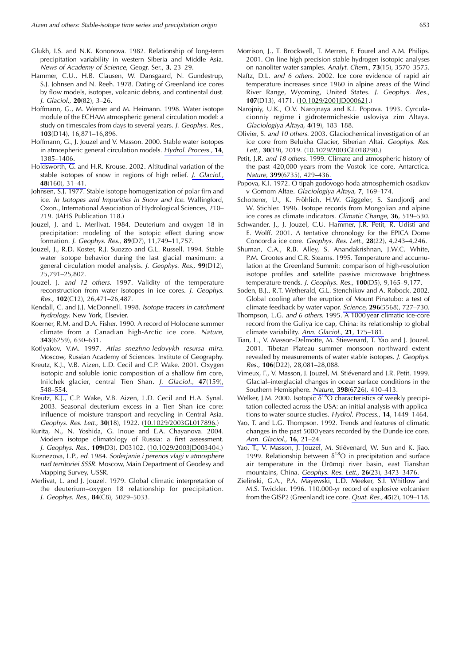- Glukh, I.S. and N.K. Kononova. 1982. Relationship of long-term precipitation variability in western Siberia and Middle Asia. News of Academy of Science, Geogr. Ser., 3, 23-29.
- Hammer, C.U., H.B. Clausen, W. Dansgaard, N. Gundestrup, S.J. Johnsen and N. Reeh. 1978. Dating of Greenland ice cores by flow models, isotopes, volcanic debris, and continental dust. J. Glaciol., 20(82), 3-26.
- Hoffmann, G., M. Werner and M. Heimann. 1998. Water isotope module of the ECHAM atmospheric general circulation model: a study on timescales from days to several years. J. Geophys. Res., 103(D14), 16,871-16,896.
- Hoffmann, G., J. Jouzel and V. Masson, 2000. Stable water isotopes in atmospheric general circulation models. Hydrol. Process., 14. 1385-1406.
- Holdsworth, G. and H.R. Krouse. 2002. Altitudinal variation of the stable isotopes of snow in regions of high relief. J. Glaciol.,  $48(160), 31-41.$
- Johnsen, S.J. 1977. Stable isotope homogenization of polar firn and ice. In Isotopes and Impurities in Snow and Ice. Wallingford, Oxon., International Association of Hydrological Sciences, 210-219. (IAHS Publication 118.)
- Jouzel, J. and L. Merlivat. 1984. Deuterium and oxygen 18 in precipitation: modeling of the isotopic effect during snow formation. *J. Geophys. Res.*, 89(D7), 11,749-11,757.
- Jouzel, J., R.D. Koster, R.J. Suozzo and G.L. Russell. 1994. Stable water isotope behavior during the last glacial maximum: a general circulation model analysis. J. Geophys. Res., 99(D12), 25,791-25,802.
- Jouzel, J. and 12 others. 1997. Validity of the temperature reconstruction from water isotopes in ice cores. J. Geophys. Res., 102(C12), 26,471-26,487.
- Kendall, C. and J.J. McDonnell. 1998. Isotope tracers in catchment hydrology. New York, Elsevier.
- Koerner, R.M. and D.A. Fisher. 1990. A record of Holocene summer climate from a Canadian high-Arctic ice core. Nature, 343(6259), 630-631.
- Kotlyakov, V.M. 1997. Atlas snezhno-ledovykh resursa mira. Moscow, Russian Academy of Sciences. Institute of Geography.
- Kreutz, K.J., V.B. Aizen, L.D. Cecil and C.P. Wake. 2001. Oxygen isotopic and soluble ionic composition of a shallow firn core, Inilchek glacier, central Tien Shan. J. Glaciol., 47(159), 548-554.
- Kreutz, K.J., C.P. Wake, V.B. Aizen, L.D. Cecil and H.A. Synal. 2003. Seasonal deuterium excess in a Tien Shan ice core: influence of moisture transport and recycling in Central Asia. Geophys. Res. Lett., 30(18), 1922. (10.1029/2003GL017896.)
- Kurita, N., N. Yoshida, G. Inoue and E.A. Chayanova. 2004. Modern isotope climatology of Russia: a first assessment. J. Geophys. Res., 109(D3), D03102. (10.1029/2003JD003404.)
- Kuznezova, L.P., ed. 1984. Soderjanie i perenos vlagi v atmosphere nad territoriei SSSR. Moscow, Main Department of Geodesy and Mapping Survey, USSR.
- Merlivat, L. and J. Jouzel. 1979. Global climatic interpretation of the deuterium-oxygen 18 relationship for precipitation. J. Geophys. Res., 84(C8), 5029-5033.
- Morrison, J., T. Brockwell, T. Merren, F. Fourel and A.M. Philips. 2001. On-line high-precision stable hydrogen isotopic analyses on nanoliter water samples. Analyt. Chem., 73(15), 3570-3575.
- Naftz, D.L. and 6 others. 2002. Ice core evidence of rapid air temperature increases since 1960 in alpine areas of the Wind River Range, Wyoming, United States. J. Geophys. Res., 107(D13), 4171. (10.1029/2001JD000621.)
- Narojniy, U.K., O.V. Narojnaya and K.I. Popova. 1993. Cyrculacionniy regime i gidrotermicheskie usloviya zim Altaya. Glaciologiya Altaya, 4(19), 183-188.
- Olivier, S. and 10 others. 2003. Glaciochemical investigation of an ice core from Belukha Glacier, Siberian Altai, Geophys, Res. Lett., 30(19), 2019. (10.1029/2003GL018290.)
- Petit, J.R. and 18 others. 1999. Climate and atmospheric history of the past 420,000 years from the Vostok ice core, Antarctica. Nature, 399(6735), 429-436.
- Popova, K.I. 1972. O tipah godovogo hoda atmosphernich osadkov v Gornom Altae. Glaciologiya Altaya, 7, 169-174.
- Schotterer, U., K. Fröhlich, H.W. Gäggeler, S. Sandjordj and W. Stichler. 1996. Isotope records from Mongolian and alpine ice cores as climate indicators. Climatic Change, 36, 519-530.
- Schwander, J., J. Jouzel, C.U. Hammer, J.R. Petit, R. Udisti and E. Wolff. 2001. A tentative chronology for the EPICA Dome Concordia ice core. Geophys. Res. Lett., 28(22), 4,243-4,246.
- Shuman, C.A., R.B. Alley, S. Anandakrishnan, J.W.C. White, P.M. Grootes and C.R. Stearns. 1995. Temperature and accumulation at the Greenland Summit: comparison of high-resolution isotope profiles and satellite passive microwave brightness temperature trends. J. Geophys. Res., 100(D5), 9,165-9,177.
- Soden, B.J., R.T. Wetherald, G.L. Stenchikov and A. Robock. 2002. Global cooling after the eruption of Mount Pinatubo: a test of climate feedback by water vapor. Science, 296(5568), 727-730.
- Thompson, L.G. and 6 others. 1995. A 1000 year climatic ice-core record from the Guliya ice cap, China: its relationship to global climate variability. Ann. Glaciol., 21, 175-181.
- Tian, L., V. Masson-Delmotte, M. Stievenard, T. Yao and J. Jouzel. 2001. Tibetan Plateau summer monsoon northward extent revealed by measurements of water stable isotopes. J. Geophys. Res., 106(D22), 28,081-28,088.
- Vimeux, F., V. Masson, J. Jouzel, M. Stiévenard and J.R. Petit. 1999. Glacial-interglacial changes in ocean surface conditions in the Southern Hemisphere. Nature, 398(6726), 410-413.
- Welker, J.M. 2000. Isotopic  $\delta^{18}O$  characteristics of weekly precipitation collected across the USA: an initial analysis with applications to water source studies. Hydrol. Process., 14, 1449-1464.
- Yao, T. and L.G. Thompson. 1992. Trends and features of climatic changes in the past 5000 years recorded by the Dunde ice core. Ann. Glaciol., 16, 21-24.
- Yao, T., V. Masson, J. Jouzel, M. Stiévenard, W. Sun and K. Jiao. 1999. Relationship between  $\delta^{18}O$  in precipitation and surface air temperature in the Ürümqi river basin, east Tianshan mountains, China. Geophys. Res. Lett., 26(23), 3473-3476.
- Zielinski, G.A., P.A. Mayewski, L.D. Meeker, S.I. Whitlow and M.S. Twickler. 1996. 110,000-yr record of explosive volcanism from the GISP2 (Greenland) ice core. Quat. Res., 45(2), 109-118.